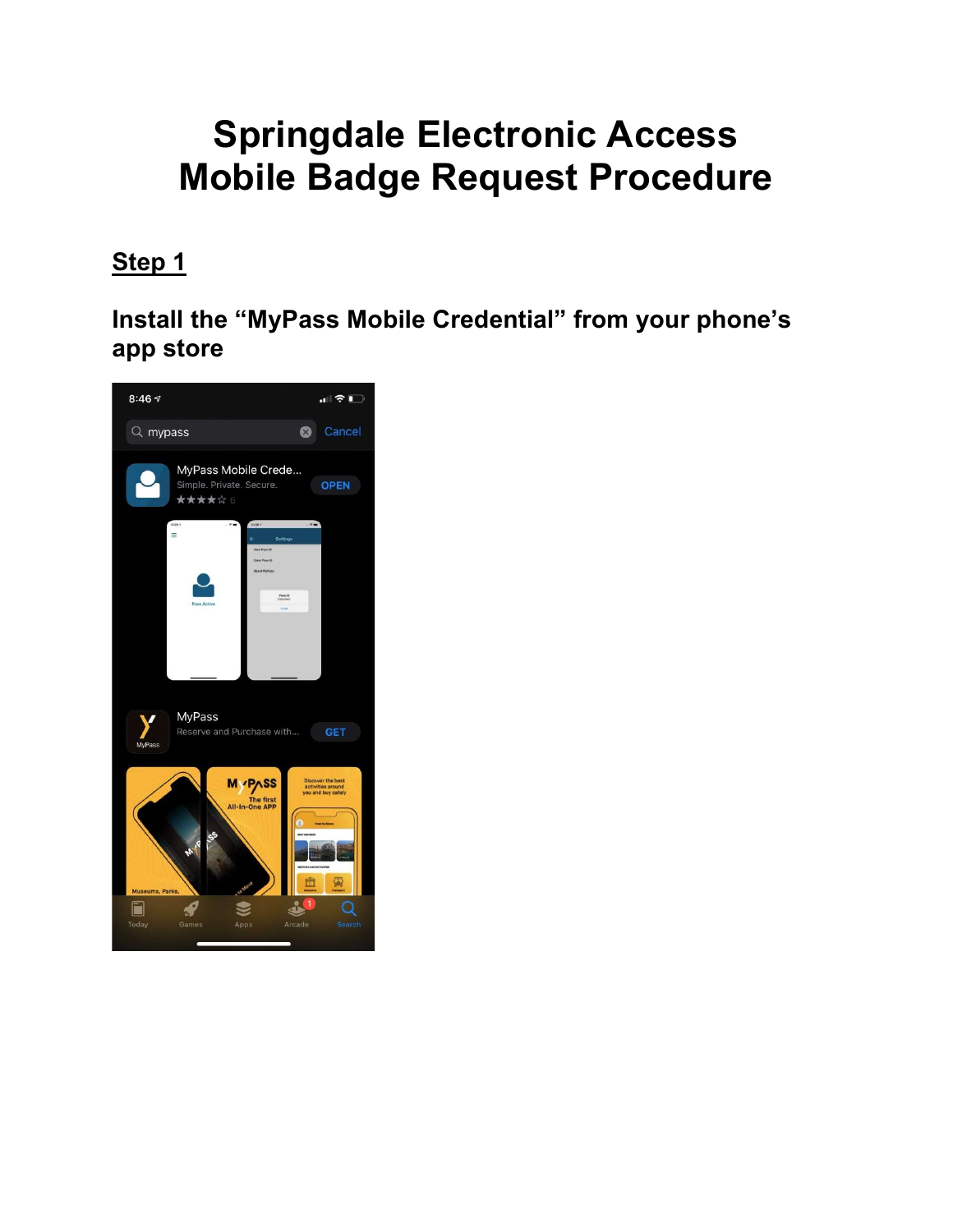# Springdale Electronic Access Mobile Badge Request Procedure

### Step 1

Install the "MyPass Mobile Credential" from your phone's app store

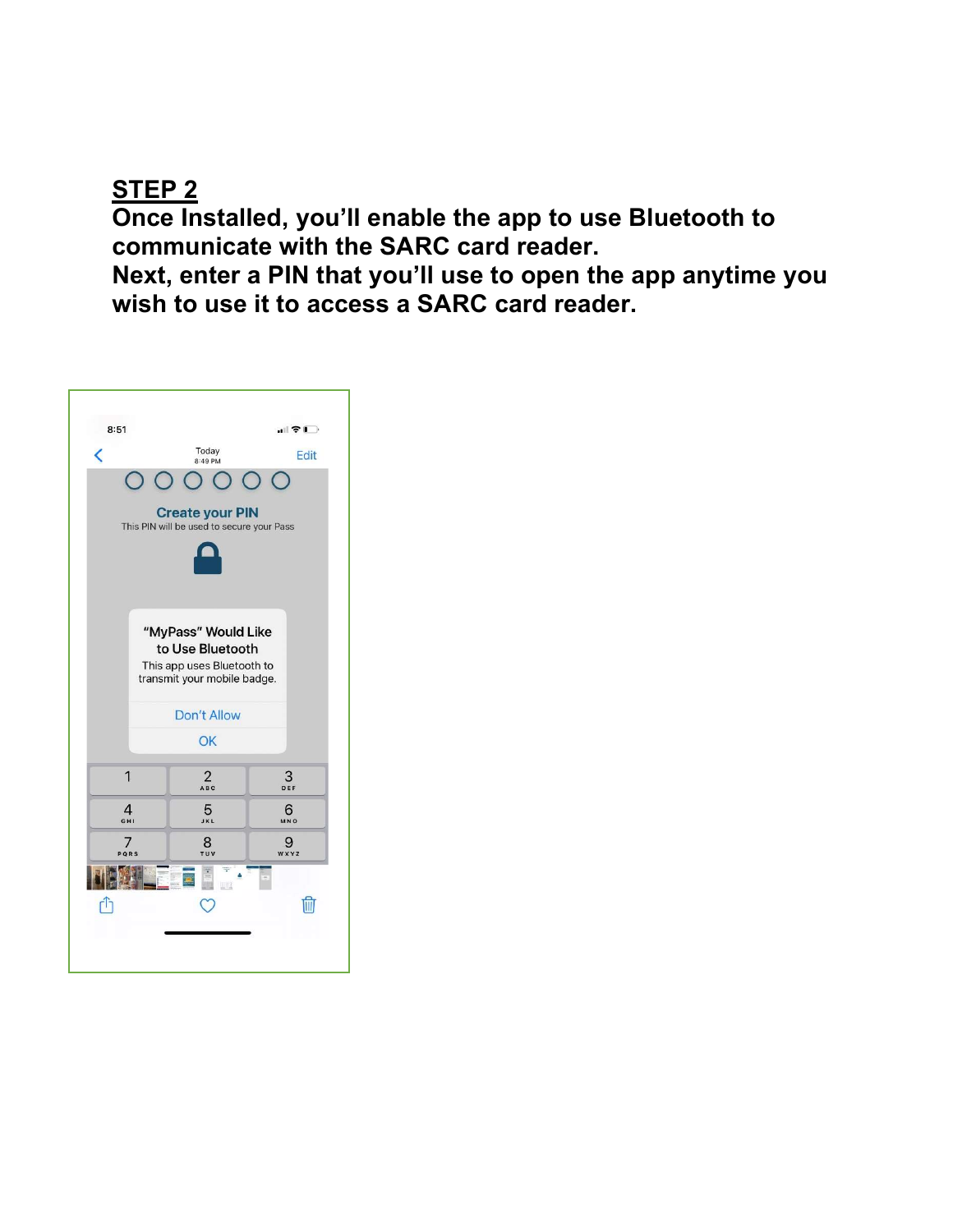#### STEP 2

Once Installed, you'll enable the app to use Bluetooth to communicate with the SARC card reader.

Next, enter a PIN that you'll use to open the app anytime you wish to use it to access a SARC card reader.

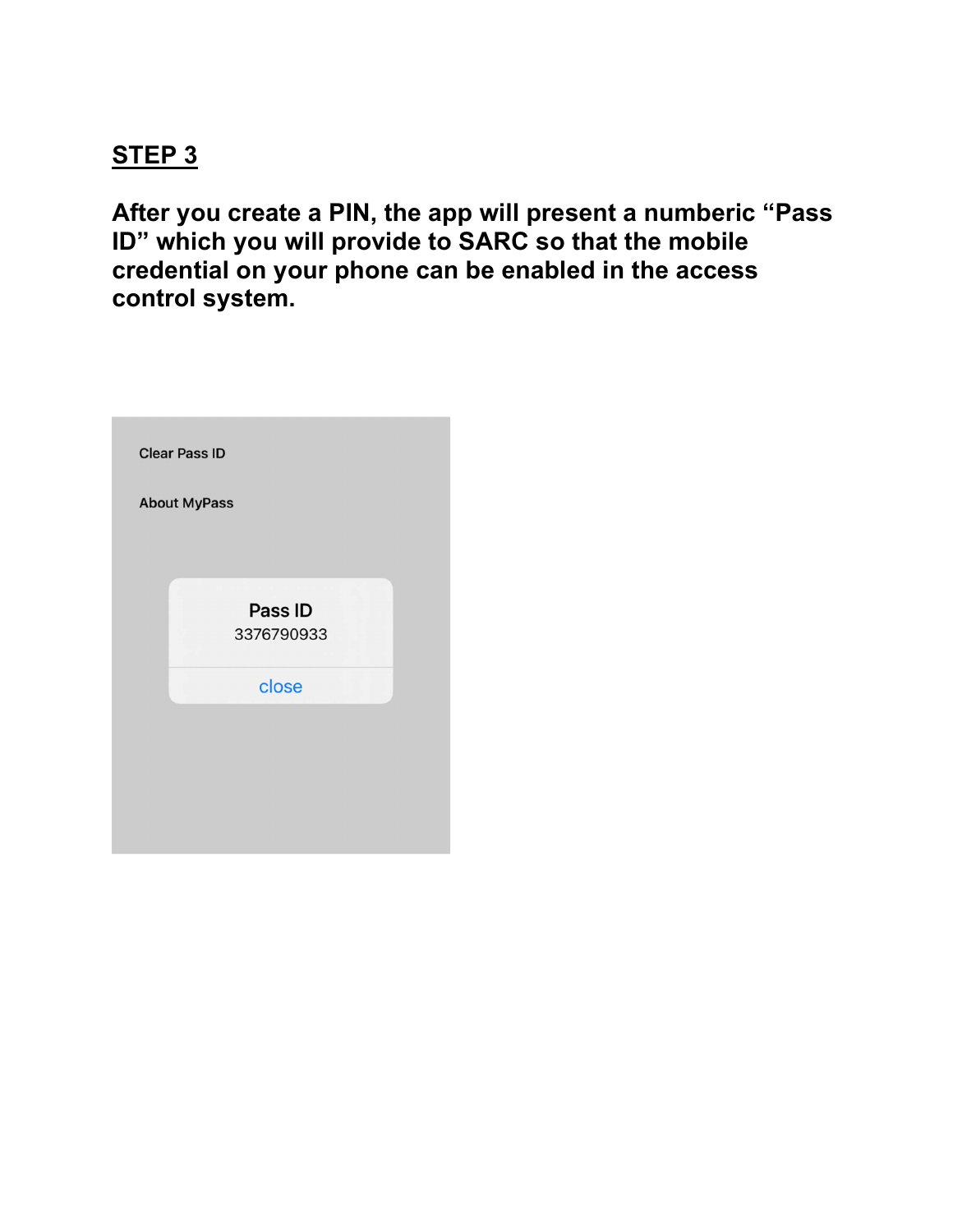#### STEP<sub>3</sub>

After you create a PIN, the app will present a numberic "Pass ID" which you will provide to SARC so that the mobile credential on your phone can be enabled in the access control system.

| <b>Clear Pass ID</b> |                       |  |
|----------------------|-----------------------|--|
|                      | <b>About MyPass</b>   |  |
|                      |                       |  |
|                      | Pass ID<br>3376790933 |  |
|                      | close                 |  |
|                      |                       |  |
|                      |                       |  |
|                      |                       |  |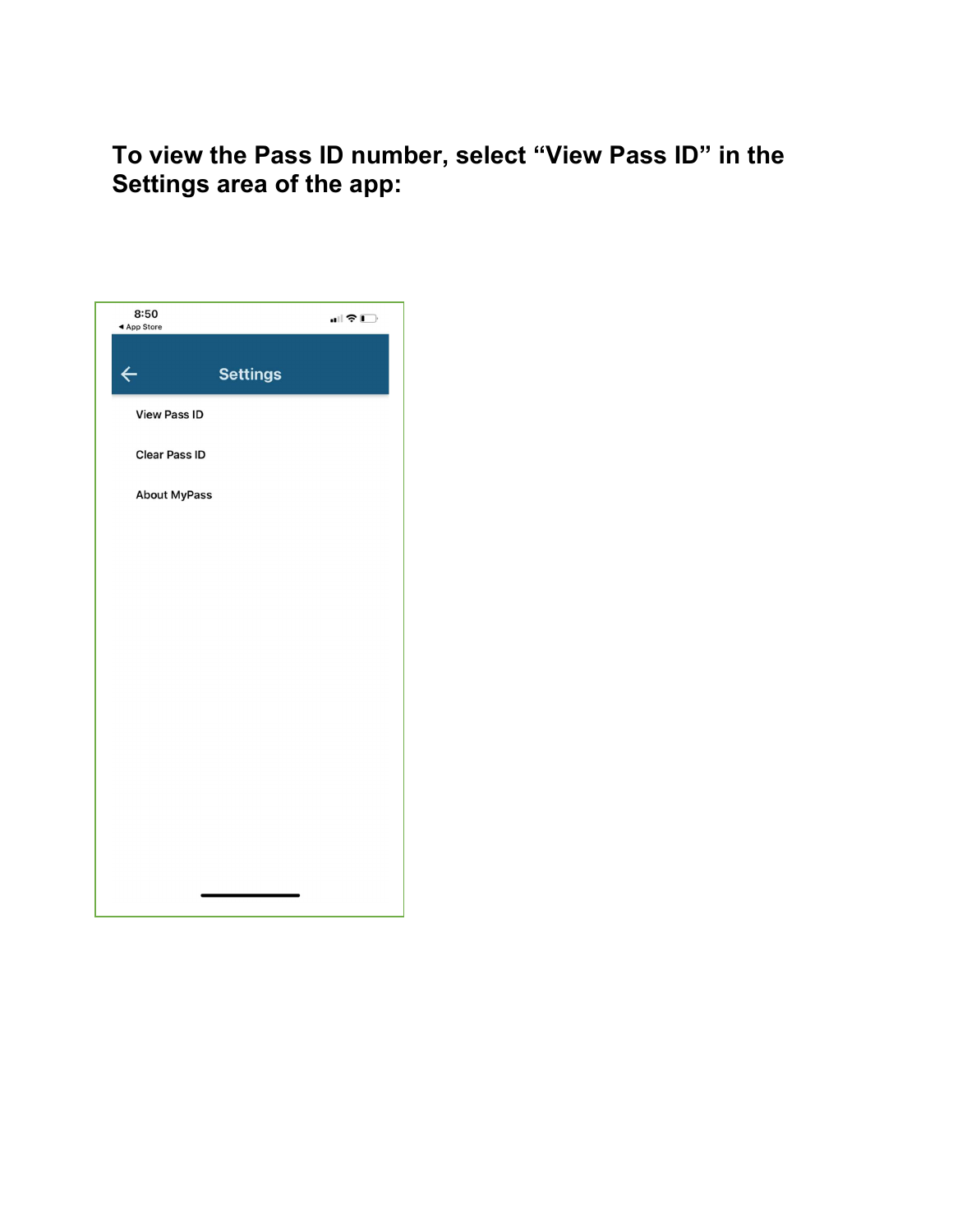To view the Pass ID number, select "View Pass ID" in the Settings area of the app:

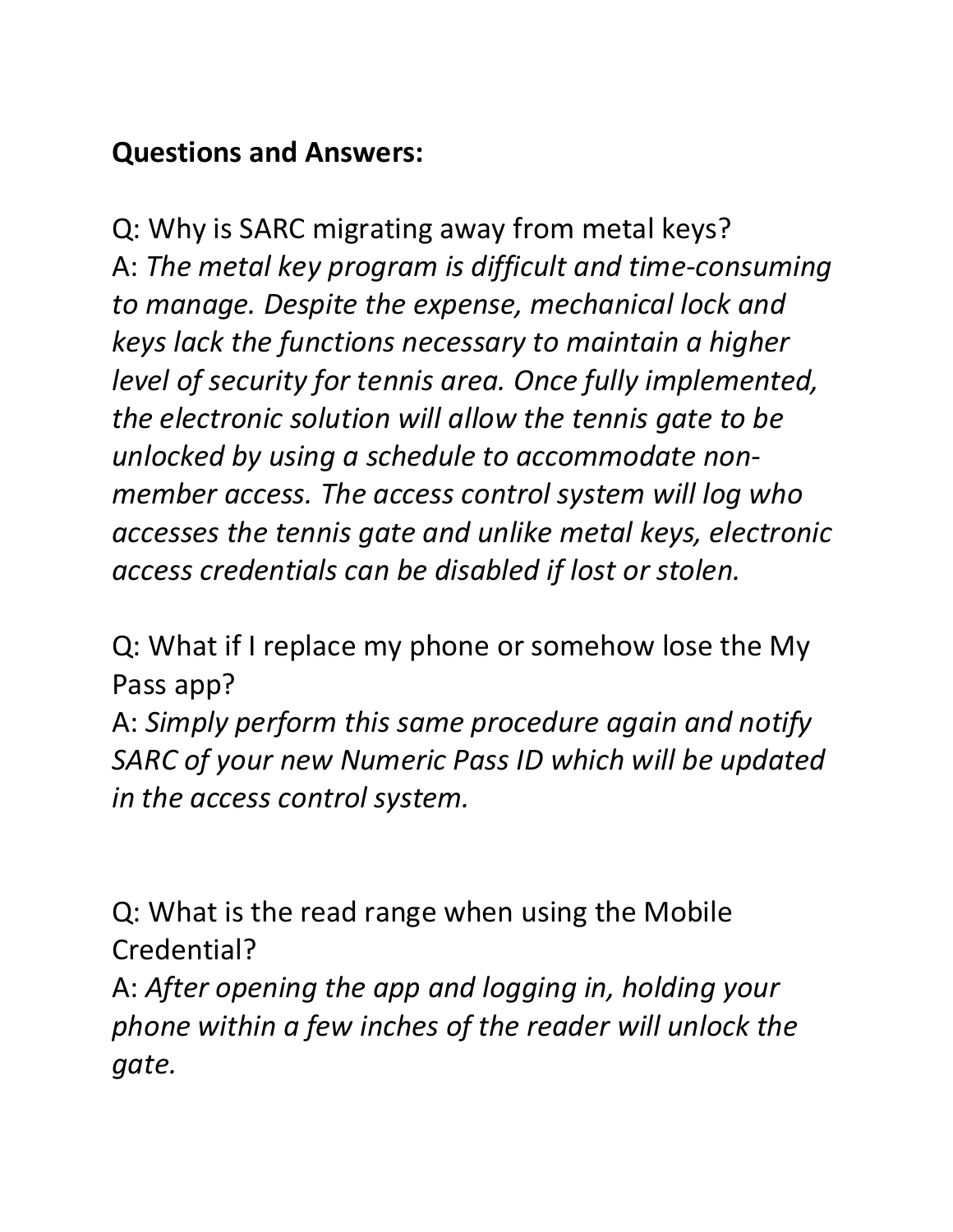## Questions and Answers:

Q: Why is SARC migrating away from metal keys? A: The metal key program is difficult and time-consuming to manage. Despite the expense, mechanical lock and keys lack the functions necessary to maintain a higher level of security for tennis area. Once fully implemented, the electronic solution will allow the tennis gate to be unlocked by using a schedule to accommodate nonmember access. The access control system will log who accesses the tennis gate and unlike metal keys, electronic access credentials can be disabled if lost or stolen.

Q: What if I replace my phone or somehow lose the My Pass app?

A: Simply perform this same procedure again and notify SARC of your new Numeric Pass ID which will be updated in the access control system.

Q: What is the read range when using the Mobile Credential?

A: After opening the app and logging in, holding your phone within a few inches of the reader will unlock the gate.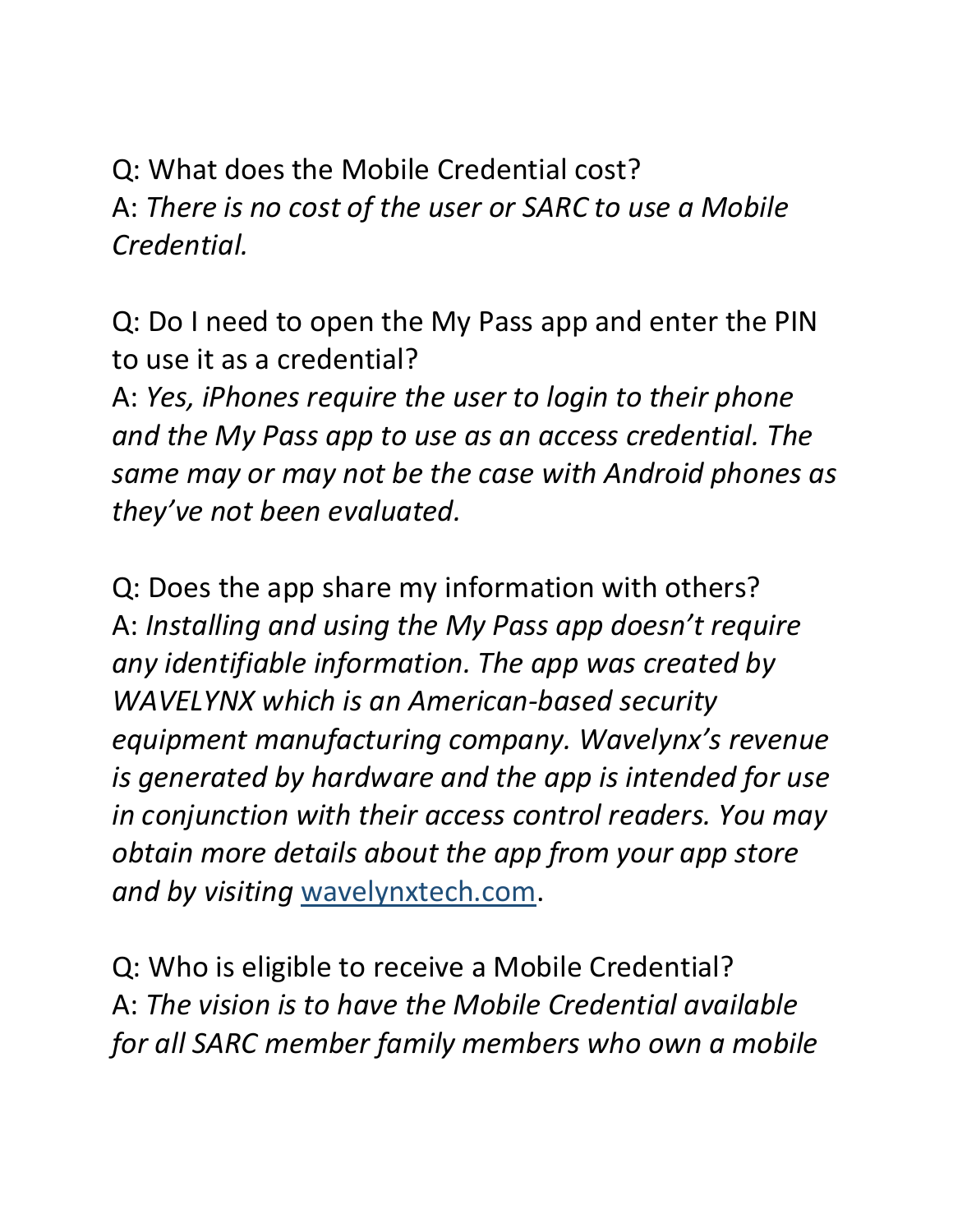Q: What does the Mobile Credential cost? A: There is no cost of the user or SARC to use a Mobile Credential.

Q: Do I need to open the My Pass app and enter the PIN to use it as a credential?

A: Yes, iPhones require the user to login to their phone and the My Pass app to use as an access credential. The same may or may not be the case with Android phones as they've not been evaluated.

Q: Does the app share my information with others? A: Installing and using the My Pass app doesn't require any identifiable information. The app was created by WAVELYNX which is an American-based security equipment manufacturing company. Wavelynx's revenue is generated by hardware and the app is intended for use in conjunction with their access control readers. You may obtain more details about the app from your app store and by visiting wavelynxtech.com.

Q: Who is eligible to receive a Mobile Credential? A: The vision is to have the Mobile Credential available for all SARC member family members who own a mobile